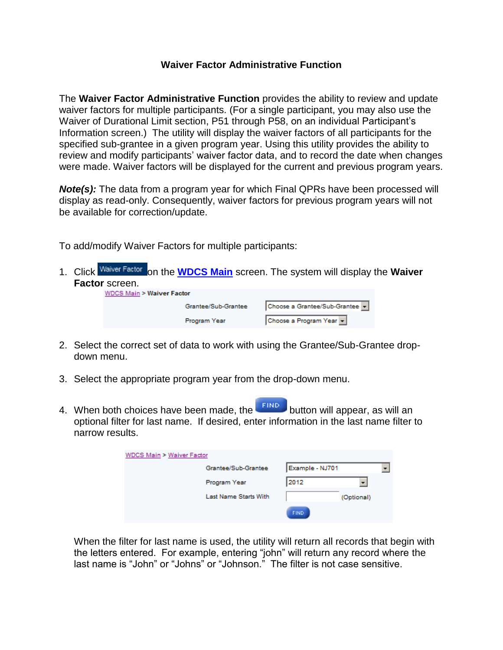## **Waiver Factor Administrative Function**

The **Waiver Factor Administrative Function** provides the ability to review and update waiver factors for multiple participants. (For a single participant, you may also use the Waiver of Durational Limit section, P51 through P58, on an individual Participant's Information screen.) The utility will display the waiver factors of all participants for the specified sub-grantee in a given program year. Using this utility provides the ability to review and modify participants' waiver factor data, and to record the date when changes were made. Waiver factors will be displayed for the current and previous program years.

**Note(s):** The data from a program year for which Final QPRs have been processed will display as read-only. Consequently, waiver factors for previous program years will not be available for correction/update.

To add/modify Waiver Factors for multiple participants:

1. Click <sup>Waiver Factor</sup> on the **[WDCS Main](https://www.sparq.doleta.gov/Help/WDCS_Main_Screen.htm)** screen. The system will display the **Waiver Factor** screen. **WDC** 

| CS Main > <b>Waiver Factor</b> |                              |  |  |  |  |  |
|--------------------------------|------------------------------|--|--|--|--|--|
| Grantee/Sub-Grantee            | Choose a Grantee/Sub-Grantee |  |  |  |  |  |
| Program Year                   | Choose a Program Year v      |  |  |  |  |  |

- 2. Select the correct set of data to work with using the Grantee/Sub-Grantee dropdown menu.
- 3. Select the appropriate program year from the drop-down menu.
- 4. When both choices have been made, the **button will appear, as will an** optional filter for last name. If desired, enter information in the last name filter to narrow results.

| WDCS Main > Waiver Factor |                              |                 |            |  |
|---------------------------|------------------------------|-----------------|------------|--|
|                           | Grantee/Sub-Grantee          | Example - NJ701 |            |  |
|                           | Program Year                 | 2012            |            |  |
|                           | <b>Last Name Starts With</b> |                 | (Optional) |  |
|                           |                              | <b>FIND</b>     |            |  |

When the filter for last name is used, the utility will return all records that begin with the letters entered. For example, entering "john" will return any record where the last name is "John" or "Johns" or "Johnson." The filter is not case sensitive.